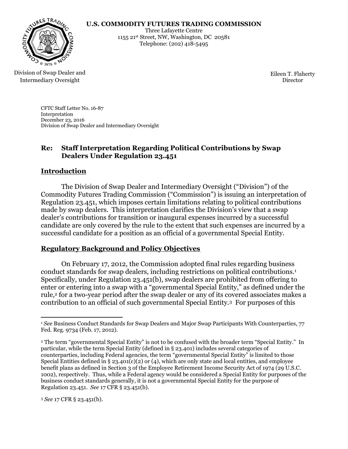#### **U.S. COMMODITY FUTURES TRADING COMMISSION**



Three Lafayette Centre 1155 21st Street, NW, Washington, DC 20581 Telephone: (202) 418-5495

#### Division of Swap Dealer and Intermediary Oversight

Eileen T. Flaherty Director

CFTC Staff Letter No. 16-87 Interpretation December 23, 2016 Division of Swap Dealer and Intermediary Oversight

## **Re: Staff Interpretation Regarding Political Contributions by Swap Dealers Under Regulation 23.451**

## **Introduction**

The Division of Swap Dealer and Intermediary Oversight ("Division") of the Commodity Futures Trading Commission ("Commission") is issuing an interpretation of Regulation 23.451, which imposes certain limitations relating to political contributions made by swap dealers. This interpretation clarifies the Division's view that a swap dealer's contributions for transition or inaugural expenses incurred by a successful candidate are only covered by the rule to the extent that such expenses are incurred by a successful candidate for a position as an official of a governmental Special Entity.

## **Regulatory Background and Policy Objectives**

On February 17, 2012, the Commission adopted final rules regarding business conduct standards for swap dealers, including restrictions on political contributions.<sup>1</sup> Specifically, under Regulation 23.451(b), swap dealers are prohibited from offering to enter or entering into a swap with a "governmental Special Entity," as defined under the rule,<sup>2</sup> for a two-year period after the swap dealer or any of its covered associates makes a contribution to an official of such governmental Special Entity.3 For purposes of this

<sup>3</sup> *See* 17 CFR § 23.451(b).

 $\overline{a}$ <sup>1</sup> *See* Business Conduct Standards for Swap Dealers and Major Swap Participants With Counterparties, 77 Fed. Reg. 9734 (Feb. 17, 2012).

<sup>2</sup> The term "governmental Special Entity" is not to be confused with the broader term "Special Entity." In particular, while the term Special Entity (defined in § 23.401) includes several categories of counterparties, including Federal agencies, the term "governmental Special Entity" is limited to those Special Entities defined in § 23.401(c)(2) or (4), which are only state and local entities, and employee benefit plans as defined in Section 3 of the Employee Retirement Income Security Act of 1974 (29 U.S.C. 1002), respectively. Thus, while a Federal agency would be considered a Special Entity for purposes of the business conduct standards generally, it is not a governmental Special Entity for the purpose of Regulation 23.451. *See* 17 CFR § 23.451(b).